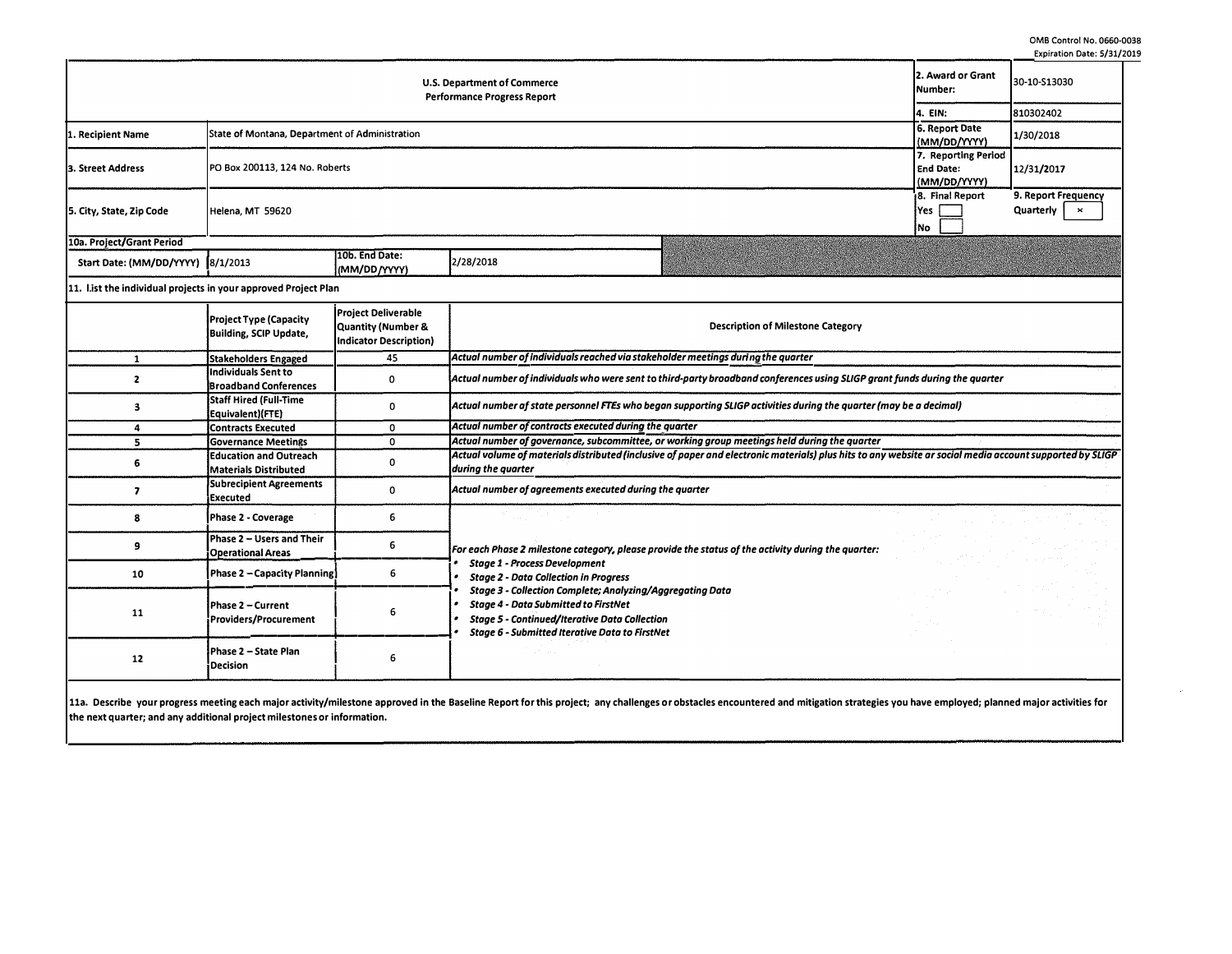**0MB Control No. 0660·0038 Expiration Date: 5/31/2019** 

|                                                                          |                                                |                                |           |                                                                                                                 |                                                         | Expiration Date, 2/21/                                    |
|--------------------------------------------------------------------------|------------------------------------------------|--------------------------------|-----------|-----------------------------------------------------------------------------------------------------------------|---------------------------------------------------------|-----------------------------------------------------------|
| <b>U.S. Department of Commerce</b><br><b>Performance Progress Report</b> |                                                |                                |           |                                                                                                                 | 2. Award or Grant<br>Number:                            | 30-10-S13030                                              |
|                                                                          |                                                |                                |           |                                                                                                                 |                                                         | 810302402                                                 |
| 1. Recipient Name                                                        | State of Montana, Department of Administration |                                |           |                                                                                                                 | 6. Report Date<br>(MM/DD/YYYY)                          | 1/30/2018                                                 |
| 3. Street Address                                                        | PO Box 200113, 124 No. Roberts                 |                                |           |                                                                                                                 | 7. Reporting Period<br><b>End Date:</b><br>(MM/DD/YYYY) | 12/31/2017                                                |
| 5. City, State, Zip Code                                                 | Helena, MT 59620                               |                                |           |                                                                                                                 | 18. Final Report<br>lYes  <br>INo.                      | 9. Report Frequency<br>Quarterly<br>$\boldsymbol{\times}$ |
| 10a. Project/Grant Period                                                |                                                |                                |           |                                                                                                                 |                                                         |                                                           |
| Start Date: (MM/DD/YYYY) 8/1/2013                                        |                                                | 10b. End Date:<br>(MM/DD/YYYY) | 2/28/2018 | i se na se na se na se na se na se na se na se na se na se na se na se na se na se na se na se na se na se na s |                                                         |                                                           |

**11. list the individual projects in your approved Project Plan** 

|    | Project Type (Capacity<br><b>Building, SCIP Update,</b>       | <b>Project Deliverable</b><br>Quantity (Number &<br>Indicator Description) | <b>Description of Milestone Category</b>                                                                                                                                                                                  |  |  |  |  |  |  |
|----|---------------------------------------------------------------|----------------------------------------------------------------------------|---------------------------------------------------------------------------------------------------------------------------------------------------------------------------------------------------------------------------|--|--|--|--|--|--|
|    | <b>Stakeholders Engaged</b>                                   | 45                                                                         | Actual number of individuals reached via stakeholder meetings during the quarter                                                                                                                                          |  |  |  |  |  |  |
|    | Individuals Sent to<br>Broadband Conferences                  | 0                                                                          | Actual number of individuals who were sent to third-party broadband conferences using SLIGP grant funds during the quarter                                                                                                |  |  |  |  |  |  |
|    | Staff Hired (Full-Time<br>Equivalent)(FTE)                    | Ω                                                                          | Actual number af state personnel FTEs who began supporting SLIGP activities during the quarter (may be a decimal)                                                                                                         |  |  |  |  |  |  |
|    | <b>Contracts Executed</b>                                     | 0                                                                          | Actual number of contracts executed during the quarter                                                                                                                                                                    |  |  |  |  |  |  |
|    | <b>Sovernance Meetings</b>                                    | $\Omega$                                                                   | Actual number of governance, subcommittee, or working group meetings held during the quarter                                                                                                                              |  |  |  |  |  |  |
|    | <b>Education and Outreach</b><br><b>Materials Distributed</b> |                                                                            | Actual volume of materials distributed (inclusive of paper and electronic materials) plus hits to any website ar social media account supported by SLIGP<br>during the quarter                                            |  |  |  |  |  |  |
|    | Subrecipient Agreements<br>Executed                           |                                                                            | Actual number of agreements executed during the quarter                                                                                                                                                                   |  |  |  |  |  |  |
|    | Phase 2 - Coverage                                            | 6                                                                          |                                                                                                                                                                                                                           |  |  |  |  |  |  |
|    | Phase 2 – Users and Their<br><b>Operational Areas</b>         |                                                                            | For each Phase 2 milestone category, please provide the status of the activity during the quarter:                                                                                                                        |  |  |  |  |  |  |
| 10 | Phase 2 – Capacity Planning)                                  | 6                                                                          | <b>Stage 1 - Process Development</b><br><b>Stage 2 - Data Collection in Progress</b>                                                                                                                                      |  |  |  |  |  |  |
| 11 | l Phase 2 – Current<br>Providers/Procurement                  |                                                                            | Stage 3 - Collection Complete; Analyzing/Aggregating Data<br><b>Stage 4 - Data Submitted to FirstNet</b><br><b>Stage 5 - Continued/Iterative Data Collection</b><br><b>Stage 6 - Submitted Iterative Data to FirstNet</b> |  |  |  |  |  |  |
| 12 | Phase 2 – State Plan<br>Decision                              | 6                                                                          |                                                                                                                                                                                                                           |  |  |  |  |  |  |

11a. Describe your progress meeting each major activity/milestone approved in the Baseline Report for this project; any challenges or obstacles encountered and mitigation strategies you have employed; planned major activit **the next quarter; and any additional project milestones or information.**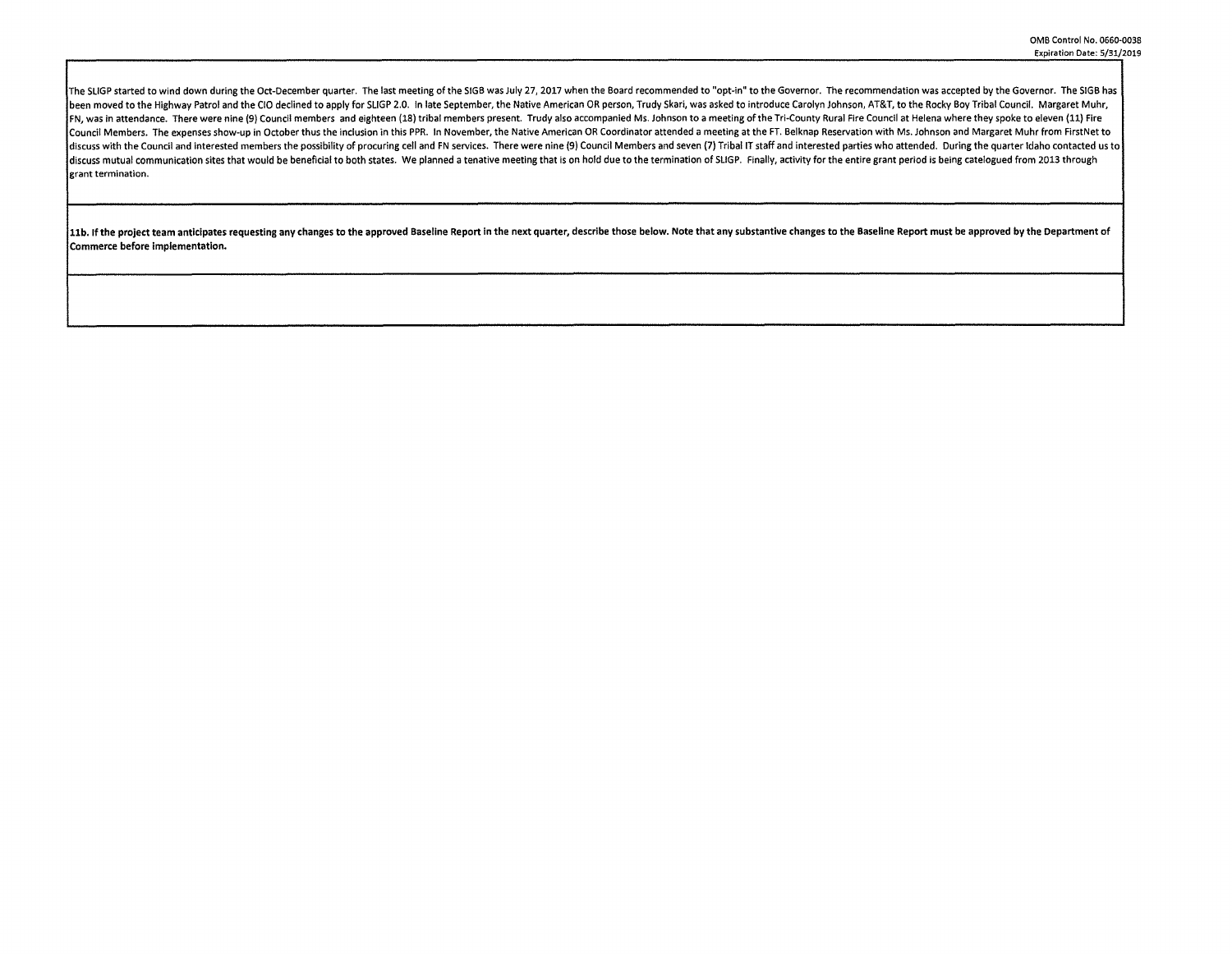The SLIGP started to wind down during the Oct-December quarter. The last meeting of the SIGB was July 27, 2017 when the Board recommended to "opt-in" to the Governor. The recommendation was accepted by the Governor. The SI been moved to the Highway Patrol and the CIO declined to apply for SLIGP 2.0. In late September, the Native American OR person, Trudy Skari, was asked to introduce Carolyn Johnson, AT&T, to the Rocky Boy Tribal Council. Ma FN, was in attendance. There were nine (9) Council members and eighteen (18) tribal members present. Trudy also accompanied Ms. Johnson to a meeting of the Tri-County Rural Fire Council at Helena where they spoke to eleven Council Members. The expenses show-up in October thus the inclusion in this PPR. In November, the Native American OR Coordinator attended a meeting at the FT. Belknap Reservation with Ms. Johnson and Margaret Muhr from Fir discuss with the Council and interested members the possibility of procuring cell and FN services. There were nine (9) Council Members and seven (7) Tribal IT staff and interested parties who attended. During the quarter I discuss mutual communication sites that would be beneficial to both states. We planned a tenative meeting that is on hold due to the termination of SLIGP. Finally, activity for the entire grant period is being catelogued f **grant termination.** 

11b. If the project team anticipates requesting any changes to the approved Baseline Report in the next quarter, describe those below. Note that any substantive changes to the Baseline Report must be approved by the Depart Commerce before implementation.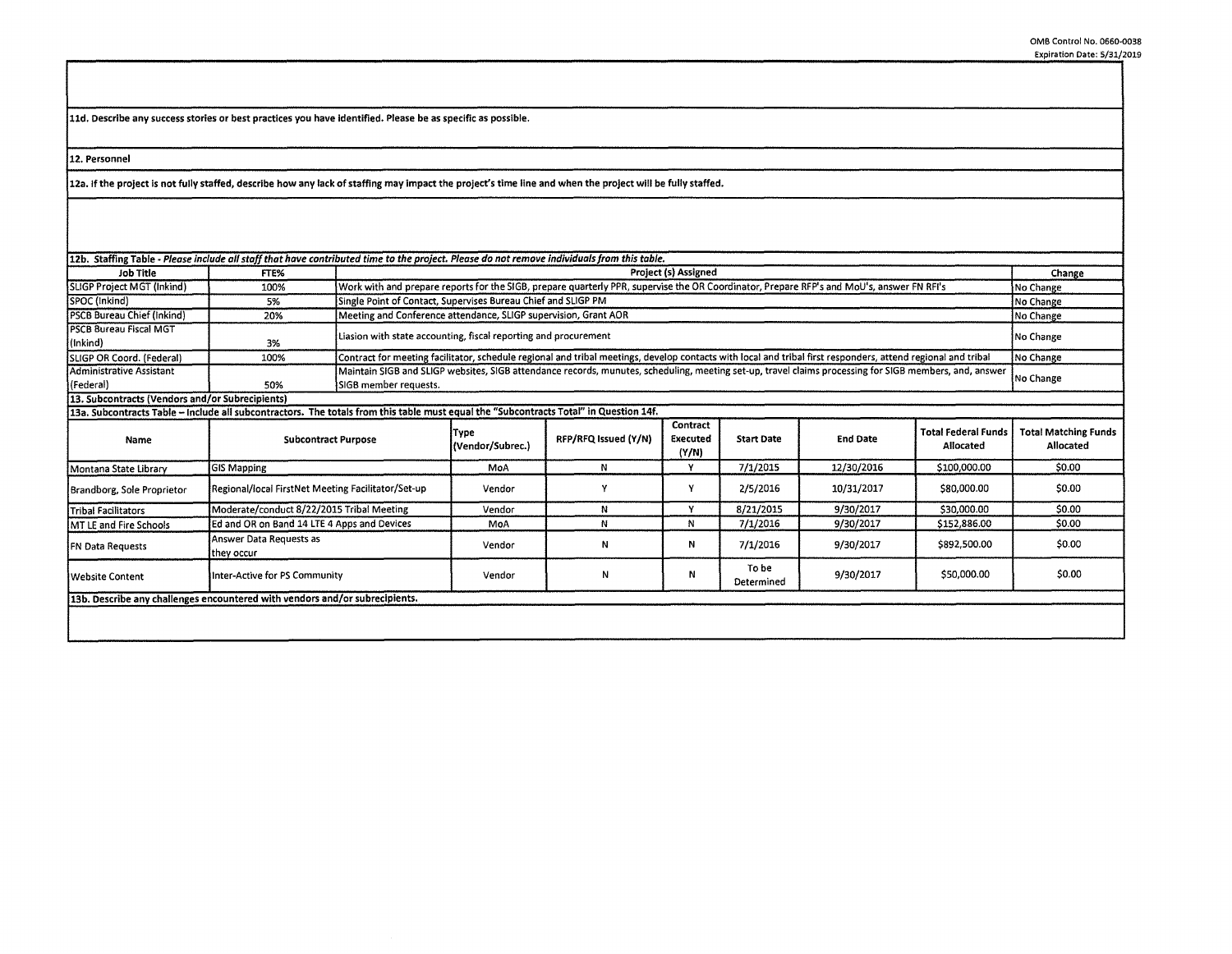**lld. Describe any success stories or best practices you have identified. Please be as specific as possible.** 

**12. Personnel** 

**12a. If the project is not fully staffed, describe how any lack of staffing may impact the project's time** line and **when the project will be fully staffed.** 

| 12b. Staffing Table - Please include all staff that have contributed time to the project. Please do not remove individuals from this table. |                                                    |                       |                                                                                                                                                                           |                      |                               |                     |                 |                                         |                                          |
|---------------------------------------------------------------------------------------------------------------------------------------------|----------------------------------------------------|-----------------------|---------------------------------------------------------------------------------------------------------------------------------------------------------------------------|----------------------|-------------------------------|---------------------|-----------------|-----------------------------------------|------------------------------------------|
| Job Title                                                                                                                                   | FTE%                                               |                       | Project (s) Assigned                                                                                                                                                      |                      |                               |                     |                 |                                         |                                          |
| SLIGP Project MGT (Inkind)                                                                                                                  | 100%                                               |                       | Work with and prepare reports for the SIGB, prepare quarterly PPR, supervise the OR Coordinator, Prepare RFP's and MoU's, answer FN RFI's<br>No Change                    |                      |                               |                     |                 |                                         |                                          |
| SPOC (Inkind)                                                                                                                               | 5%                                                 |                       | Single Point of Contact, Supervises Bureau Chief and SLIGP PM<br>No Change                                                                                                |                      |                               |                     |                 |                                         |                                          |
| <b>PSCB Bureau Chief (Inkind)</b>                                                                                                           | 20%                                                |                       | Meeting and Conference attendance, SLIGP supervision, Grant AOR                                                                                                           |                      |                               |                     |                 |                                         | No Change                                |
| <b>IPSCB Bureau Fiscal MGT</b><br>(Inkind)                                                                                                  | 3%                                                 |                       | Liasion with state accounting, fiscal reporting and procurement<br>No Change                                                                                              |                      |                               |                     |                 |                                         |                                          |
| SLIGP OR Coord. (Federal)                                                                                                                   | 100%                                               |                       | Contract for meeting facilitator, schedule regional and tribal meetings, develop contacts with local and tribal first responders, attend regional and tribal<br>No Change |                      |                               |                     |                 |                                         |                                          |
| Administrative Assistant                                                                                                                    |                                                    |                       | Maintain SIGB and SLIGP websites, SIGB attendance records, munutes, scheduling, meeting set-up, travel claims processing for SIGB members, and, answer                    |                      |                               |                     |                 |                                         |                                          |
| (Federal)                                                                                                                                   | 50%                                                | SIGB member requests. | No Change                                                                                                                                                                 |                      |                               |                     |                 |                                         |                                          |
| 13. Subcontracts (Vendors and/or Subrecipients)                                                                                             |                                                    |                       |                                                                                                                                                                           |                      |                               |                     |                 |                                         |                                          |
| 13a. Subcontracts Table - Include all subcontractors. The totals from this table must equal the "Subcontracts Total" in Question 14f.       |                                                    |                       |                                                                                                                                                                           |                      |                               |                     |                 |                                         |                                          |
| Name                                                                                                                                        | <b>Subcontract Purpose</b>                         |                       | Type<br>(Vendor/Subrec.)                                                                                                                                                  | RFP/RFQ Issued (Y/N) | Contract<br>Executed<br>(Y/N) | <b>Start Date</b>   | <b>End Date</b> | <b>Total Federal Funds</b><br>Allocated | <b>Total Matching Funds</b><br>Allocated |
| Montana State Library                                                                                                                       | <b>GIS Mapping</b>                                 |                       | MoA                                                                                                                                                                       | N                    | Y                             | 7/1/2015            | 12/30/2016      | \$100,000.00                            | \$0.00                                   |
| Brandborg, Sole Proprietor                                                                                                                  | Regional/local FirstNet Meeting Facilitator/Set-up |                       | Vendor                                                                                                                                                                    | ٧                    |                               | 2/5/2016            | 10/31/2017      | \$80,000.00                             | \$0.00                                   |
| Tribal Facilitators                                                                                                                         | Moderate/conduct 8/22/2015 Tribal Meeting          |                       | Vendor                                                                                                                                                                    | N                    | v                             | 8/21/2015           | 9/30/2017       | \$30,000.00                             | \$0.00                                   |
| MT LE and Fire Schools                                                                                                                      | Ed and OR on Band 14 LTE 4 Apps and Devices        |                       | MoA                                                                                                                                                                       | N                    | N                             | 7/1/2016            | 9/30/2017       | \$152,886.00                            | \$0.00                                   |
| <b>FN Data Requests</b>                                                                                                                     | Answer Data Requests as<br>they occur              |                       | Vendor                                                                                                                                                                    | N                    | N                             | 7/1/2016            | 9/30/2017       | \$892,500.00                            | \$0.00                                   |
| <b>Website Content</b>                                                                                                                      | Inter-Active for PS Community                      |                       | Vendor                                                                                                                                                                    | N                    | Ν                             | To be<br>Determined | 9/30/2017       | \$50,000.00                             | \$0.00                                   |
| 13b. Describe any challenges encountered with vendors and/or subrecipients.                                                                 |                                                    |                       |                                                                                                                                                                           |                      |                               |                     |                 |                                         |                                          |